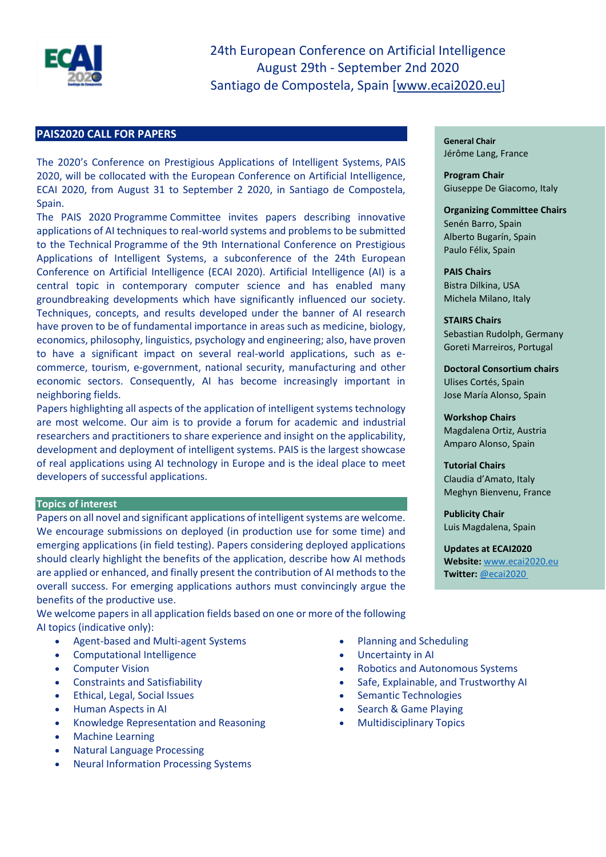

24th European Conference on Artificial Intelligence August 29th - September 2nd 2020 Santiago de Compostela, Spain [\[www.ecai2020.eu\]](http://www.ecai2020.eu/)

# **PAIS2020 CALL FOR PAPERS**

The 2020's Conference on Prestigious Applications of Intelligent Systems, PAIS 2020, will be collocated with the European Conference on Artificial Intelligence, ECAI 2020, from August 31 to September 2 2020, in Santiago de Compostela, Spain.

The PAIS 2020 Programme Committee invites papers describing innovative applications of AI techniques to real-world systems and problems to be submitted to the Technical Programme of the 9th International Conference on Prestigious Applications of Intelligent Systems, a subconference of the 24th European Conference on Artificial Intelligence (ECAI 2020). Artificial Intelligence (AI) is a central topic in contemporary computer science and has enabled many groundbreaking developments which have significantly influenced our society. Techniques, concepts, and results developed under the banner of AI research have proven to be of fundamental importance in areas such as medicine, biology, economics, philosophy, linguistics, psychology and engineering; also, have proven to have a significant impact on several real-world applications, such as ecommerce, tourism, e-government, national security, manufacturing and other economic sectors. Consequently, AI has become increasingly important in neighboring fields.

Papers highlighting all aspects of the application of intelligent systems technology are most welcome. Our aim is to provide a forum for academic and industrial researchers and practitioners to share experience and insight on the applicability, development and deployment of intelligent systems. PAIS is the largest showcase of real applications using AI technology in Europe and is the ideal place to meet developers of successful applications.

#### **Topics of interest**

Papers on all novel and significant applications of intelligent systems are welcome. We encourage submissions on deployed (in production use for some time) and emerging applications (in field testing). Papers considering deployed applications should clearly highlight the benefits of the application, describe how AI methods are applied or enhanced, and finally present the contribution of AI methods to the overall success. For emerging applications authors must convincingly argue the benefits of the productive use.

We welcome papers in all application fields based on one or more of the following AI topics (indicative only):

- Agent-based and Multi-agent Systems
- Computational Intelligence
- **Computer Vision**
- Constraints and Satisfiability
- Ethical, Legal, Social Issues
- Human Aspects in AI
- Knowledge Representation and Reasoning
- Machine Learning
- Natural Language Processing
- Neural Information Processing Systems

**General Chair** Jérôme Lang, France

**Program Chair** Giuseppe De Giacomo, Italy

## **Organizing Committee Chairs** Senén Barro, Spain Alberto Bugarín, Spain

Paulo Félix, Spain

**PAIS Chairs** Bistra Dilkina, USA Michela Milano, Italy

**STAIRS Chairs** Sebastian Rudolph, Germany Goreti Marreiros, Portugal

**Doctoral Consortium chairs** Ulises Cortés, Spain Jose María Alonso, Spain

**Workshop Chairs** Magdalena Ortiz, Austria Amparo Alonso, Spain

**Tutorial Chairs** Claudia d'Amato, Italy Meghyn Bienvenu, France

**Publicity Chair** Luis Magdalena, Spain

**Updates at ECAI2020 Website:** [www.ecai2020.eu](http://www.ecai2020.eu/) **Twitter:** [@ecai2020](https://twitter.com/ecai2020)

- Planning and Scheduling
- Uncertainty in AI
- Robotics and Autonomous Systems
- Safe, Explainable, and Trustworthy AI
- Semantic Technologies
- Search & Game Playing
- Multidisciplinary Topics